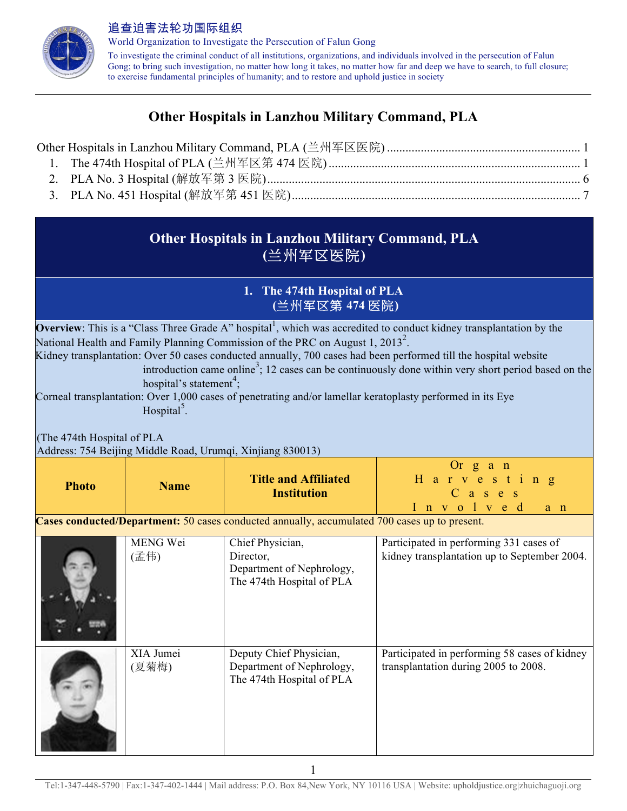

World Organization to Investigate the Persecution of Falun Gong To investigate the criminal conduct of all institutions, organizations, and individuals involved in the persecution of Falun Gong; to bring such investigation, no matter how long it takes, no matter how far and deep we have to search, to full closure; to exercise fundamental principles of humanity; and to restore and uphold justice in society

# **Other Hospitals in Lanzhou Military Command, PLA**

# **Other Hospitals in Lanzhou Military Command, PLA (**兰州军区医院**)**

## **1. The 474th Hospital of PLA (**兰州军区第 **474** 医院**)**

**Overview**: This is a "Class Three Grade A" hospital<sup>1</sup>, which was accredited to conduct kidney transplantation by the National Health and Family Planning Commission of the PRC on August 1, 2013<sup>2</sup>.

Kidney transplantation: Over 50 cases conducted annually, 700 cases had been performed till the hospital website

introduction came online<sup>3</sup>; 12 cases can be continuously done within very short period based on the hospital's statement<sup>4</sup>;

Corneal transplantation: Over 1,000 cases of penetrating and/or lamellar keratoplasty performed in its Eye Hospital<sup>5</sup>.

(The 474th Hospital of PLA Address: 754 Beijing Middle Road, Urumqi, Xinjiang 830013)

| <b>Photo</b> | <b>Name</b>        | <b>Title and Affiliated</b><br><b>Institution</b>                                             | Or $g$ a $n$<br>H a r v e s t i n g<br>$C$ as $e$ s<br>Involved<br>$a$ $n$              |
|--------------|--------------------|-----------------------------------------------------------------------------------------------|-----------------------------------------------------------------------------------------|
|              |                    | Cases conducted/Department: 50 cases conducted annually, accumulated 700 cases up to present. |                                                                                         |
|              | MENG Wei<br>(孟伟)   | Chief Physician,<br>Director,<br>Department of Nephrology,<br>The 474th Hospital of PLA       | Participated in performing 331 cases of<br>kidney transplantation up to September 2004. |
|              | XIA Jumei<br>(夏菊梅) | Deputy Chief Physician,<br>Department of Nephrology,<br>The 474th Hospital of PLA             | Participated in performing 58 cases of kidney<br>transplantation during 2005 to 2008.   |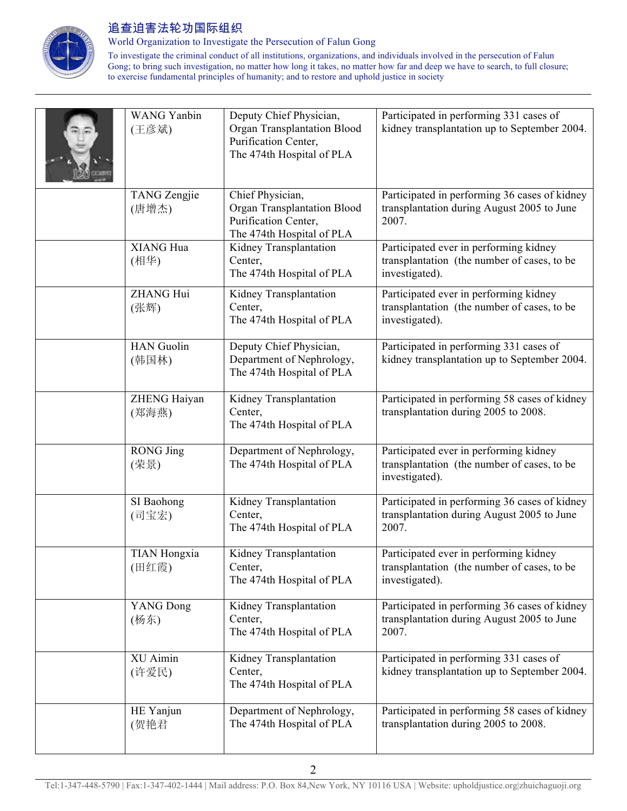

World Organization to Investigate the Persecution of Falun Gong

| <b>WANG Yanbin</b><br>(王彦斌)  | Deputy Chief Physician,<br>Organ Transplantation Blood<br>Purification Center,<br>The 474th Hospital of PLA | Participated in performing 331 cases of<br>kidney transplantation up to September 2004.                 |
|------------------------------|-------------------------------------------------------------------------------------------------------------|---------------------------------------------------------------------------------------------------------|
| <b>TANG</b> Zengjie<br>(唐增杰) | Chief Physician,<br>Organ Transplantation Blood<br>Purification Center,<br>The 474th Hospital of PLA        | Participated in performing 36 cases of kidney<br>transplantation during August 2005 to June<br>2007.    |
| XIANG Hua<br>(相华)            | Kidney Transplantation<br>Center,<br>The 474th Hospital of PLA                                              | Participated ever in performing kidney<br>transplantation (the number of cases, to be<br>investigated). |
| <b>ZHANG Hui</b><br>(张辉)     | Kidney Transplantation<br>Center,<br>The 474th Hospital of PLA                                              | Participated ever in performing kidney<br>transplantation (the number of cases, to be<br>investigated). |
| <b>HAN</b> Guolin<br>(韩国林)   | Deputy Chief Physician,<br>Department of Nephrology,<br>The 474th Hospital of PLA                           | Participated in performing 331 cases of<br>kidney transplantation up to September 2004.                 |
| ZHENG Haiyan<br>(郑海燕)        | Kidney Transplantation<br>Center,<br>The 474th Hospital of PLA                                              | Participated in performing 58 cases of kidney<br>transplantation during 2005 to 2008.                   |
| <b>RONG</b> Jing<br>(荣景)     | Department of Nephrology,<br>The 474th Hospital of PLA                                                      | Participated ever in performing kidney<br>transplantation (the number of cases, to be<br>investigated). |
| SI Baohong<br>(司宝宏)          | Kidney Transplantation<br>Center,<br>The 474th Hospital of PLA                                              | Participated in performing 36 cases of kidney<br>transplantation during August 2005 to June<br>2007.    |
| <b>TIAN Hongxia</b><br>(田红霞) | Kidney Transplantation<br>Center,<br>The 474th Hospital of PLA                                              | Participated ever in performing kidney<br>transplantation (the number of cases, to be<br>investigated). |
| <b>YANG Dong</b><br>(杨东)     | Kidney Transplantation<br>Center,<br>The 474th Hospital of PLA                                              | Participated in performing 36 cases of kidney<br>transplantation during August 2005 to June<br>2007.    |
| XU Aimin<br>(许爱民)            | Kidney Transplantation<br>Center,<br>The 474th Hospital of PLA                                              | Participated in performing 331 cases of<br>kidney transplantation up to September 2004.                 |
| HE Yanjun<br>(贺艳君            | Department of Nephrology,<br>The 474th Hospital of PLA                                                      | Participated in performing 58 cases of kidney<br>transplantation during 2005 to 2008.                   |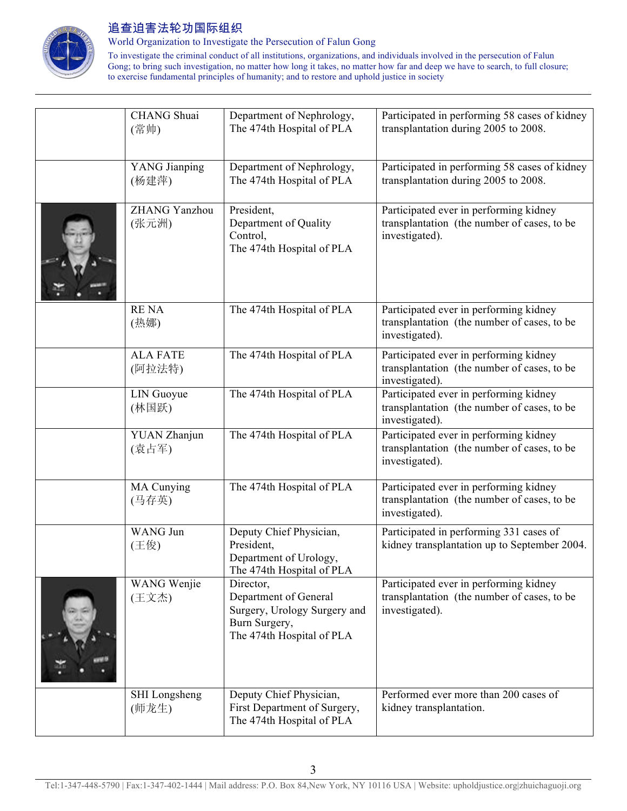

World Organization to Investigate the Persecution of Falun Gong

| <b>CHANG</b> Shuai<br>(常帅)    | Department of Nephrology,<br>The 474th Hospital of PLA                                                           | Participated in performing 58 cases of kidney<br>transplantation during 2005 to 2008.                   |
|-------------------------------|------------------------------------------------------------------------------------------------------------------|---------------------------------------------------------------------------------------------------------|
| YANG Jianping<br>(杨建萍)        | Department of Nephrology,<br>The 474th Hospital of PLA                                                           | Participated in performing 58 cases of kidney<br>transplantation during 2005 to 2008.                   |
| <b>ZHANG</b> Yanzhou<br>(张元洲) | President,<br>Department of Quality<br>Control,<br>The 474th Hospital of PLA                                     | Participated ever in performing kidney<br>transplantation (the number of cases, to be<br>investigated). |
| <b>RENA</b><br>(热娜)           | The 474th Hospital of PLA                                                                                        | Participated ever in performing kidney<br>transplantation (the number of cases, to be<br>investigated). |
| <b>ALA FATE</b><br>(阿拉法特)     | The 474th Hospital of PLA                                                                                        | Participated ever in performing kidney<br>transplantation (the number of cases, to be<br>investigated). |
| LIN Guoyue<br>(林国跃)           | The 474th Hospital of PLA                                                                                        | Participated ever in performing kidney<br>transplantation (the number of cases, to be<br>investigated). |
| YUAN Zhanjun<br>(袁占军)         | The 474th Hospital of PLA                                                                                        | Participated ever in performing kidney<br>transplantation (the number of cases, to be<br>investigated). |
| MA Cunying<br>(马存英)           | The 474th Hospital of PLA                                                                                        | Participated ever in performing kidney<br>transplantation (the number of cases, to be<br>investigated). |
| <b>WANG Jun</b><br>(王俊)       | Deputy Chief Physician,<br>President,<br>Department of Urology,<br>The 474th Hospital of PLA                     | Participated in performing 331 cases of<br>kidney transplantation up to September 2004.                 |
| WANG Wenjie<br>(王文杰)          | Director,<br>Department of General<br>Surgery, Urology Surgery and<br>Burn Surgery,<br>The 474th Hospital of PLA | Participated ever in performing kidney<br>transplantation (the number of cases, to be<br>investigated). |
| <b>SHI</b> Longsheng<br>(师龙生) | Deputy Chief Physician,<br>First Department of Surgery,<br>The 474th Hospital of PLA                             | Performed ever more than 200 cases of<br>kidney transplantation.                                        |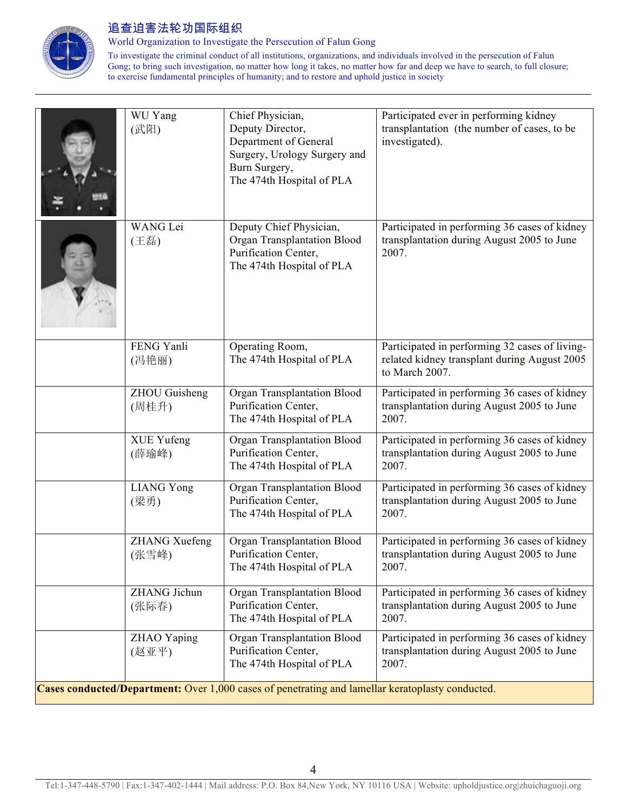

World Organization to Investigate the Persecution of Falun Gong

| WU Yang<br>(武阳)               | Chief Physician,<br>Deputy Director,<br>Department of General<br>Surgery, Urology Surgery and<br>Burn Surgery,<br>The 474th Hospital of PLA | Participated ever in performing kidney<br>transplantation (the number of cases, to be<br>investigated).          |
|-------------------------------|---------------------------------------------------------------------------------------------------------------------------------------------|------------------------------------------------------------------------------------------------------------------|
| <b>WANG</b> Lei<br>(王磊)       | Deputy Chief Physician,<br>Organ Transplantation Blood<br>Purification Center,<br>The 474th Hospital of PLA                                 | Participated in performing 36 cases of kidney<br>transplantation during August 2005 to June<br>2007.             |
| FENG Yanli<br>(冯艳丽)           | Operating Room,<br>The 474th Hospital of PLA                                                                                                | Participated in performing 32 cases of living-<br>related kidney transplant during August 2005<br>to March 2007. |
| <b>ZHOU</b> Guisheng<br>(周桂升) | Organ Transplantation Blood<br>Purification Center,<br>The 474th Hospital of PLA                                                            | Participated in performing 36 cases of kidney<br>transplantation during August 2005 to June<br>2007.             |
| <b>XUE Yufeng</b><br>(薛瑜峰)    | Organ Transplantation Blood<br>Purification Center,<br>The 474th Hospital of PLA                                                            | Participated in performing 36 cases of kidney<br>transplantation during August 2005 to June<br>2007.             |
| <b>LIANG Yong</b><br>(梁勇)     | Organ Transplantation Blood<br>Purification Center,<br>The 474th Hospital of PLA                                                            | Participated in performing 36 cases of kidney<br>transplantation during August 2005 to June<br>2007.             |
| <b>ZHANG Xuefeng</b><br>(张雪峰) | Organ Transplantation Blood<br>Purification Center,<br>The 474th Hospital of PLA                                                            | Participated in performing 36 cases of kidney<br>transplantation during August 2005 to June<br>2007.             |
| ZHANG Jichun<br>(张际春)         | Organ Transplantation Blood<br>Purification Center,<br>The 474th Hospital of PLA                                                            | Participated in performing 36 cases of kidney<br>transplantation during August 2005 to June<br>2007.             |
| ZHAO Yaping<br>(赵亚平)          | Organ Transplantation Blood<br>Purification Center,<br>The 474th Hospital of PLA                                                            | Participated in performing 36 cases of kidney<br>transplantation during August 2005 to June<br>2007.             |
|                               | Cases conducted/Department: Over 1,000 cases of penetrating and lamellar keratoplasty conducted.                                            |                                                                                                                  |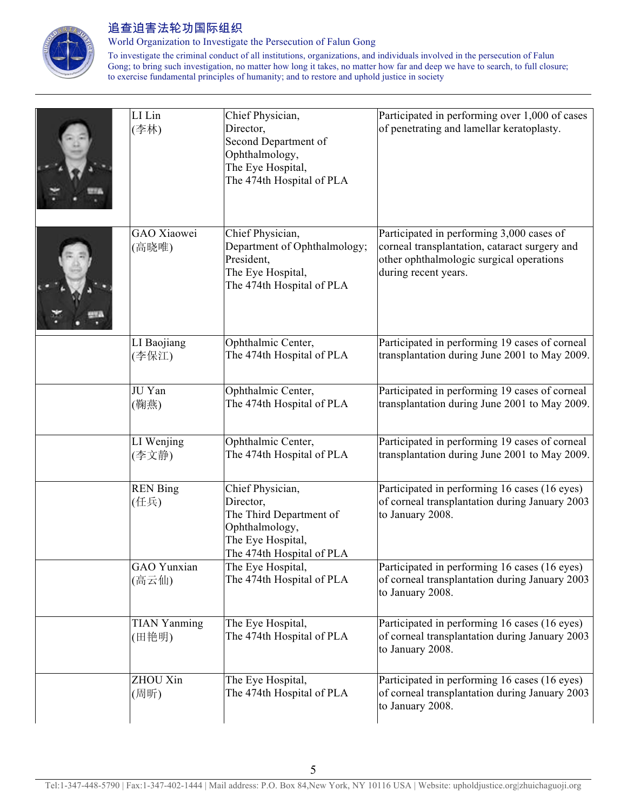

World Organization to Investigate the Persecution of Falun Gong

| LI Lin<br>(李林)               | Chief Physician,<br>Director,<br>Second Department of<br>Ophthalmology,<br>The Eye Hospital,<br>The 474th Hospital of PLA    | Participated in performing over 1,000 of cases<br>of penetrating and lamellar keratoplasty.                                                                    |
|------------------------------|------------------------------------------------------------------------------------------------------------------------------|----------------------------------------------------------------------------------------------------------------------------------------------------------------|
| GAO Xiaowei<br>(高晓唯)         | Chief Physician,<br>Department of Ophthalmology;<br>President,<br>The Eye Hospital,<br>The 474th Hospital of PLA             | Participated in performing 3,000 cases of<br>corneal transplantation, cataract surgery and<br>other ophthalmologic surgical operations<br>during recent years. |
| LI Baojiang<br>(李保江)         | Ophthalmic Center,<br>The 474th Hospital of PLA                                                                              | Participated in performing 19 cases of corneal<br>transplantation during June 2001 to May 2009.                                                                |
| JU Yan<br>(鞠燕)               | Ophthalmic Center,<br>The 474th Hospital of PLA                                                                              | Participated in performing 19 cases of corneal<br>transplantation during June 2001 to May 2009.                                                                |
| LI Wenjing<br>(李文静)          | Ophthalmic Center,<br>The 474th Hospital of PLA                                                                              | Participated in performing 19 cases of corneal<br>transplantation during June 2001 to May 2009.                                                                |
| <b>REN Bing</b><br>(任兵)      | Chief Physician,<br>Director,<br>The Third Department of<br>Ophthalmology,<br>The Eye Hospital,<br>The 474th Hospital of PLA | Participated in performing 16 cases (16 eyes)<br>of corneal transplantation during January 2003<br>to January 2008.                                            |
| GAO Yunxian<br>(高云仙)         | The Eye Hospital,<br>The 474th Hospital of PLA                                                                               | Participated in performing 16 cases (16 eyes)<br>of corneal transplantation during January 2003<br>to January 2008.                                            |
| <b>TIAN Yanming</b><br>(田艳明) | The Eye Hospital,<br>The 474th Hospital of PLA                                                                               | Participated in performing 16 cases (16 eyes)<br>of corneal transplantation during January 2003<br>to January 2008.                                            |
| ZHOU Xin<br>(周昕)             | The Eye Hospital,<br>The 474th Hospital of PLA                                                                               | Participated in performing 16 cases (16 eyes)<br>of corneal transplantation during January 2003<br>to January 2008.                                            |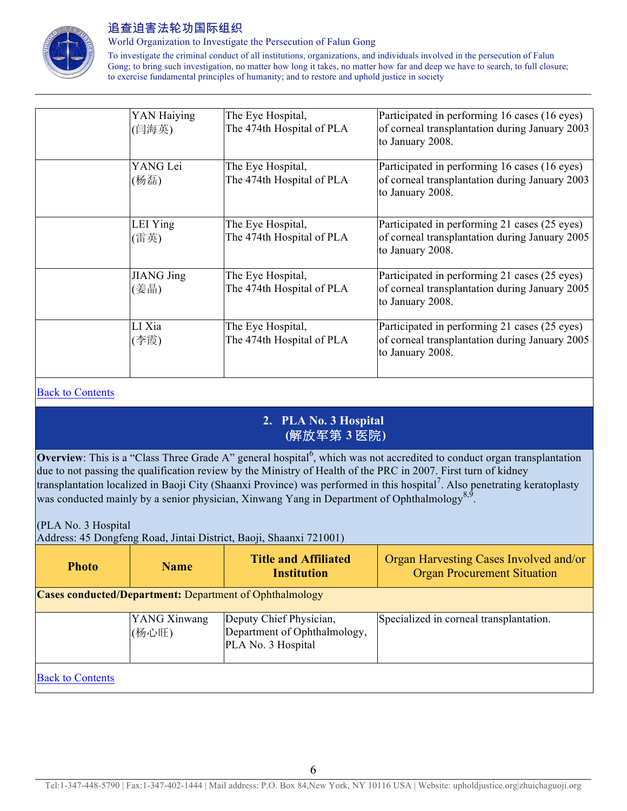

World Organization to Investigate the Persecution of Falun Gong

To investigate the criminal conduct of all institutions, organizations, and individuals involved in the persecution of Falun Gong; to bring such investigation, no matter how long it takes, no matter how far and deep we have to search, to full closure; to exercise fundamental principles of humanity; and to restore and uphold justice in society

| YAN Haiying<br>(闫海英)      | The Eye Hospital,<br>The 474th Hospital of PLA | Participated in performing 16 cases (16 eyes)<br>of corneal transplantation during January 2003<br>to January 2008. |
|---------------------------|------------------------------------------------|---------------------------------------------------------------------------------------------------------------------|
| YANG Lei<br>(杨磊)          | The Eye Hospital,<br>The 474th Hospital of PLA | Participated in performing 16 cases (16 eyes)<br>of corneal transplantation during January 2003<br>to January 2008. |
| LEI Ying<br>(雷英)          | The Eye Hospital,<br>The 474th Hospital of PLA | Participated in performing 21 cases (25 eyes)<br>of corneal transplantation during January 2005<br>to January 2008. |
| <b>JIANG Jing</b><br>(姜晶) | The Eye Hospital,<br>The 474th Hospital of PLA | Participated in performing 21 cases (25 eyes)<br>of corneal transplantation during January 2005<br>to January 2008. |
| LI Xia<br>(李霞)            | The Eye Hospital,<br>The 474th Hospital of PLA | Participated in performing 21 cases (25 eyes)<br>of corneal transplantation during January 2005<br>to January 2008. |

#### Back to Contents

## **2. PLA No. 3 Hospital (**解放军第 **3** 医院**)**

**Overview**: This is a "Class Three Grade A" general hospital<sup>6</sup>, which was not accredited to conduct organ transplantation due to not passing the qualification review by the Ministry of Health of the PRC in 2007. First turn of kidney transplantation localized in Baoji City (Shaanxi Province) was performed in this hospital<sup>7</sup>. Also penetrating keratoplasty was conducted mainly by a senior physician, Xinwang Yang in Department of Ophthalmology<sup>8,9</sup>.

(PLA No. 3 Hospital

Address: 45 Dongfeng Road, Jintai District, Baoji, Shaanxi 721001)

| <b>Photo</b>                                                   | <b>Name</b>           | <b>Title and Affiliated</b><br><b>Institution</b>                             | Organ Harvesting Cases Involved and/or<br><b>Organ Procurement Situation</b> |  |  |
|----------------------------------------------------------------|-----------------------|-------------------------------------------------------------------------------|------------------------------------------------------------------------------|--|--|
| <b>Cases conducted/Department:</b> Department of Ophthalmology |                       |                                                                               |                                                                              |  |  |
|                                                                | YANG Xinwang<br>(杨心旺) | Deputy Chief Physician,<br>Department of Ophthalmology,<br>PLA No. 3 Hospital | Specialized in corneal transplantation.                                      |  |  |
| <b>Back to Contents</b>                                        |                       |                                                                               |                                                                              |  |  |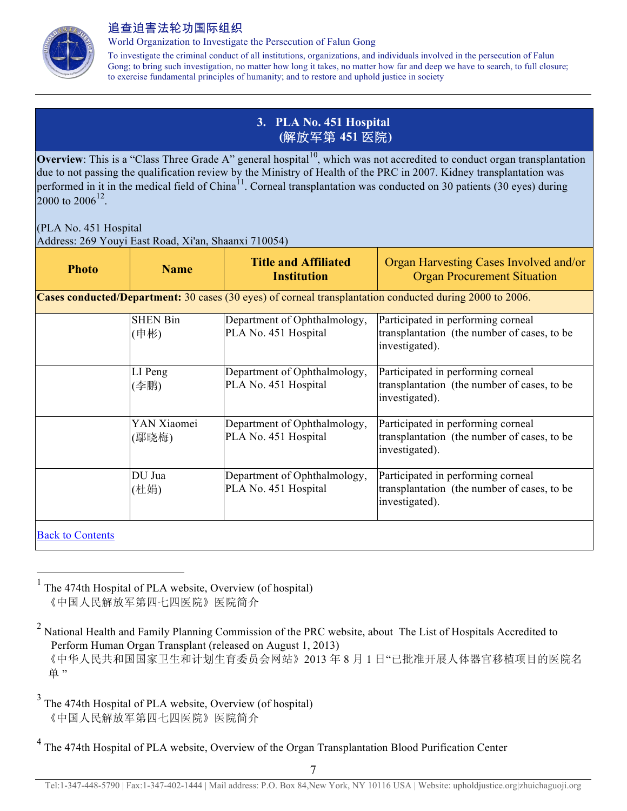

World Organization to Investigate the Persecution of Falun Gong

To investigate the criminal conduct of all institutions, organizations, and individuals involved in the persecution of Falun Gong; to bring such investigation, no matter how long it takes, no matter how far and deep we have to search, to full closure; to exercise fundamental principles of humanity; and to restore and uphold justice in society

## **3. PLA No. 451 Hospital (**解放军第 **451** 医院**)**

**Overview**: This is a "Class Three Grade A" general hospital<sup>10</sup>, which was not accredited to conduct organ transplantation due to not passing the qualification review by the Ministry of Health of the PRC in 2007. Kidney transplantation was performed in it in the medical field of China<sup>11</sup>. Corneal transplantation was conducted on 30 patients (30 eyes) during 2000 to 2006<sup>12</sup>

(PLA No. 451 Hospital

Address: 269 Youyi East Road, Xi'an, Shaanxi 710054)

| <b>Photo</b>            | <b>Name</b>             | <b>Title and Affiliated</b><br><b>Institution</b>    | Organ Harvesting Cases Involved and/or<br><b>Organ Procurement Situation</b>                             |
|-------------------------|-------------------------|------------------------------------------------------|----------------------------------------------------------------------------------------------------------|
|                         |                         |                                                      | Cases conducted/Department: 30 cases (30 eyes) of corneal transplantation conducted during 2000 to 2006. |
|                         | <b>SHEN Bin</b><br>(申彬) | Department of Ophthalmology,<br>PLA No. 451 Hospital | Participated in performing corneal<br>transplantation (the number of cases, to be<br>investigated).      |
|                         | LI Peng<br>(李鹏)         | Department of Ophthalmology,<br>PLA No. 451 Hospital | Participated in performing corneal<br>transplantation (the number of cases, to be<br>investigated).      |
|                         | YAN Xiaomei<br>(鄢晓梅)    | Department of Ophthalmology,<br>PLA No. 451 Hospital | Participated in performing corneal<br>transplantation (the number of cases, to be<br>investigated).      |
|                         | DU Jua<br>(杜娟)          | Department of Ophthalmology,<br>PLA No. 451 Hospital | Participated in performing corneal<br>transplantation (the number of cases, to be<br>investigated).      |
| <b>Back to Contents</b> |                         |                                                      |                                                                                                          |

 $<sup>1</sup>$  The 474th Hospital of PLA website, Overview (of hospital)</sup> 《中国人民解放军第四七四医院》医院简介

<sup>&</sup>lt;sup>2</sup> National Health and Family Planning Commission of the PRC website, about The List of Hospitals Accredited to Perform Human Organ Transplant (released on August 1, 2013) 《中华人民共和国国家卫生和计划生育委员会网站》2013 年 8 月 1 日"已批准开展人体器官移植项目的医院名 单"

<sup>3</sup> The 474th Hospital of PLA website, Overview (of hospital) 《中国人民解放军第四七四医院》医院简介

<sup>&</sup>lt;sup>4</sup> The 474th Hospital of PLA website, Overview of the Organ Transplantation Blood Purification Center